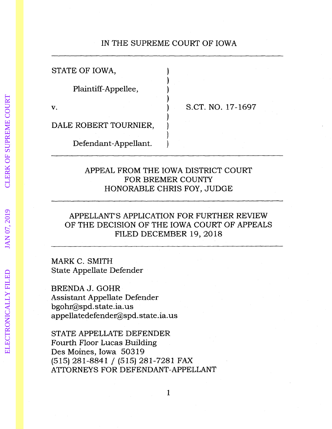# IN THE SUPREME COURT OF IOWA

| STATE OF IOWA,        |                   |
|-----------------------|-------------------|
| Plaintiff-Appellee,   |                   |
| V.                    | S.CT. NO. 17-1697 |
| DALE ROBERT TOURNIER, |                   |
| Defendant-Appellant.  |                   |

## APPEAL FROM THE IOWA DISTRICT COURT FOR BREMER COUNTY HONORABLE CHRIS FOY, JUDGE

# APPELLANT'S APPLICATION FOR FURTHER REVIEW OF THE DECISION OF THE IOWA COURT OF APPEALS FILED DECEMBER 19, 2018

MARK C. SMITH State Appellate Defender

BRENDA J. GOHR Assistant Appellate Defender bgohr@spd. state.ia. us appellatedefender@spd. state.ia. us

STATE APPELLATE DEFENDER Fourth Floor Lucas Building Des Moines, Iowa 50319 (515) 281-8841 / (515) 281-7281 FAX ATIORNEYS FOR DEFENDANT-APPELLANT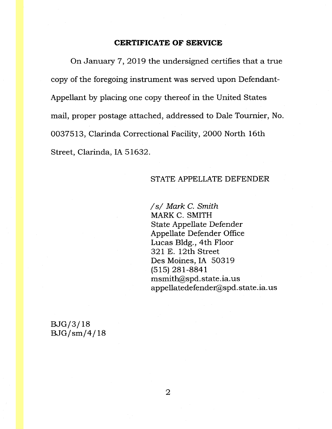### **CERTIFICATE OF SERVICE**

On January 7, 2019 the undersigned certifies that a true copy of the foregoing instrument was served upon Defendant-Appellant by placing one copy thereof in the United States mail, proper postage attached, addressed to Dale Tournier, No. 0037513, Clarinda Correctional Facility, 2000 North 16th Street, Clarinda, IA 51632.

## STATE APPELLATE DEFENDER

*Is/* Mark C. Smith MARK C. SMITH State Appellate Defender Appellate Defender Office Lucas Bldg., 4th Floor 321 E. 12th Street Des Moines, IA 50319 (515) 281-8841 msmith@spd.state.ia.us appellatedefender@spd.state.ia.us

BJG/3/18 BJG/sm/4/ 18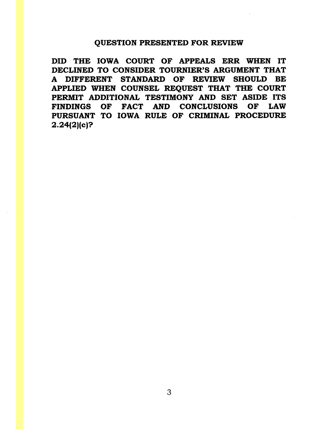## QUESTION PRESENTED FOR REVIEW

DID THE IOWA COURT OF APPEALS ERR WHEN IT DECLINED TO CONSIDER TOURNIER'S ARGUMENT THAT A DIFFERENT STANDARD OF REVIEW SHOULD BE APPLIED WHEN COUNSEL REQUEST THAT THE COURT PERMIT ADDITIONAL TESTIMONY AND SET ASIDE ITS FINDINGS OF FACT AND CONCLUSIONS OF LAW PURSUANT TO IOWA RULE OF CRIMINAL PROCEDURE 2.24(2)(c)?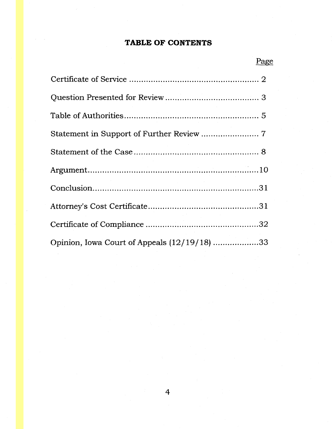# **TABLE OF CONTENTS**

| Opinion, Iowa Court of Appeals (12/19/18) 33 |  |
|----------------------------------------------|--|

# Page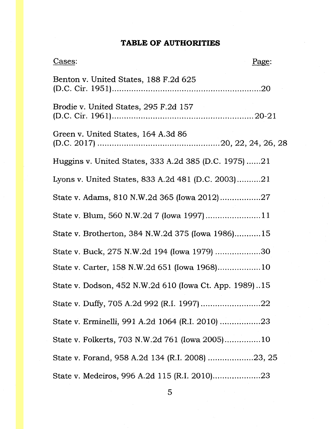# **TABLE OF AUTHORITIES**

| Cases:                                                 | Page: |
|--------------------------------------------------------|-------|
| Benton v. United States, 188 F.2d 625                  |       |
| Brodie v. United States, 295 F.2d 157                  |       |
| Green v. United States, 164 A.3d 86                    |       |
| Huggins v. United States, 333 A.2d 385 (D.C. 1975)21   |       |
| Lyons v. United States, 833 A.2d 481 (D.C. 2003)21     |       |
|                                                        |       |
| State v. Blum, 560 N.W.2d 7 (lowa 1997)11              |       |
| State v. Brotherton, 384 N.W.2d 375 (Iowa 1986)15      |       |
| State v. Buck, 275 N.W.2d 194 (Iowa 1979) 30           |       |
| State v. Carter, 158 N.W.2d 651 (Iowa 1968)10          |       |
| State v. Dodson, 452 N.W.2d 610 (Iowa Ct. App. 1989)15 |       |
|                                                        |       |
| State v. Erminelli, 991 A.2d 1064 (R.I. 2010) 23       |       |
| State v. Folkerts, 703 N.W.2d 761 (Iowa 2005)10        |       |
| State v. Forand, 958 A.2d 134 (R.I. 2008) 23, 25       |       |
| State v. Medeiros, 996 A.2d 115 (R.I. 2010)23          |       |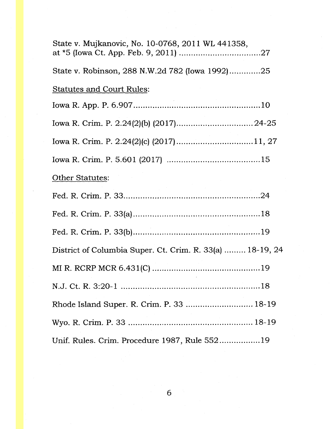| State v. Mujkanovic, No. 10-0768, 2011 WL 441358,         |
|-----------------------------------------------------------|
| State v. Robinson, 288 N.W.2d 782 (Iowa 1992)25           |
| <b>Statutes and Court Rules:</b>                          |
|                                                           |
|                                                           |
| Iowa R. Crim. P. 2.24(2)(c) (2017)11, 27                  |
|                                                           |
| Other Statutes:                                           |
|                                                           |
|                                                           |
|                                                           |
| District of Columbia Super. Ct. Crim. R. 33(a)  18-19, 24 |
|                                                           |
|                                                           |
| Rhode Island Super. R. Crim. P. 33  18-19                 |
|                                                           |
| Unif. Rules. Crim. Procedure 1987, Rule 55219             |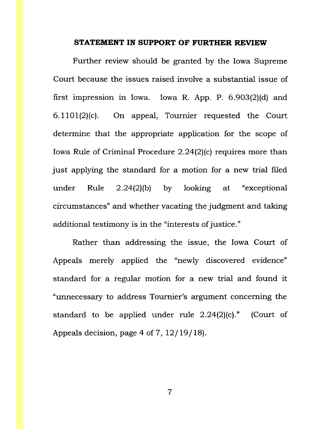#### **STATEMENT IN SUPPORT OF FURTHER REVIEW**

Further review should be granted by the Iowa Supreme Court because the issues raised involve a substantial issue of first impression in Iowa. Iowa R. App. P. 6.903(2)(d) and  $6.1101(2)(c)$ . On appeal, Tournier requested the Court determine that the appropriate application for the scope of Iowa Rule of Criminal Procedure 2.24(2)(c) requires more than just applying the standard for a motion for a new trial filed under Rule 2.24(2)(b) by looking at "exceptional circumstances" and whether vacating the judgment and taking additional testimony is in the "interests of justice."

Rather than addressing the issue, the Iowa Court of Appeals merely applied the "newly discovered evidence" standard for a regular motion for a new trial and found it "unnecessary to address Tournier's argument concerning the standard to be applied under rule  $2.24(2)(c)$ ." (Court of Appeals decision, page 4 of 7, 12 / 19 / 18).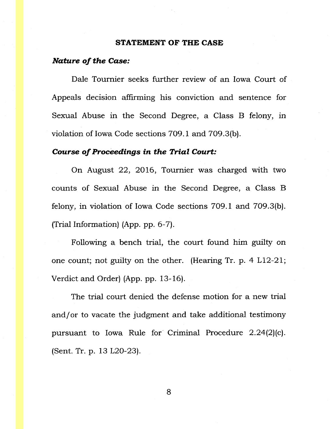#### **STATEMENT OF THE CASE**

#### *Nature of the Case:*

Dale Tournier seeks further review of an Iowa Court of Appeals decision affirming his conviction and sentence for Sexual Abuse in the Second Degree, a Class B felony, in violation of Iowa Code sections 709.1 and 709.3(b).

### *Course of Proceedings in the Trial Court:*

On August 22, 2016, Tournier was charged with two counts of Sexual Abuse in the Second Degree, a Class B felony, in violation of Iowa Code sections 709.1 and 709.3(b). (Trial Information) (App. pp. 6-7).

Following a bench trial, the court found him guilty on one count; not guilty on the other. (Hearing Tr. p. 4 L12-21; Verdict and Order) (App. pp. 13-16).

The trial court denied the defense motion for a new trial and/ or to vacate the judgment and take additional testimony pursuant to Iowa Rule for' Criminal Procedure 2.24(2)(c). (Sent. Tr. p. 13 L20-23).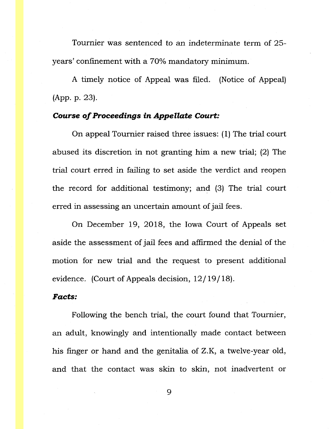Tournier was sentenced to an indeterminate term of 25 years' confinement with a 70% mandatory minimum.

A timely notice of Appeal was filed. (Notice of Appeal) (App. p. 23).

## *Course of Proceedings in Appellate Court:*

On appeal Tournier raised three issues: ( 1) The trial court abused its discretion in not granting him a new trial; (2) The trial court erred in failing to set aside the verdict and reopen the record for additional testimony; and (3) The trial court erred in assessing an uncertain amount of jail fees.

On December 19, 2018, the Iowa Court of Appeals set aside the assessment of jail fees and affirmed the denial of the motion for new trial and the request to present additional evidence. (Court of Appeals decision,  $12/19/18$ ).

#### *Facts:*

Following the bench trial, the court found that Tournier, an adult, knowingly and intentionally made contact between his finger or hand and the genitalia of Z.K, a twelve-year old, and that the contact was skin to skin, not inadvertent or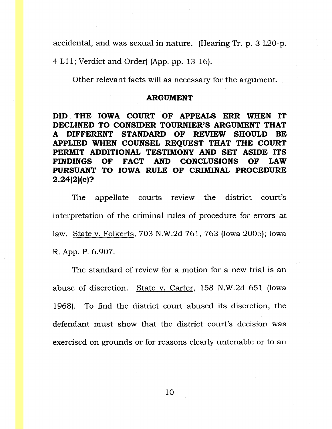accidental, and was sexual in nature. (Hearing Tr. p. 3 L20-p.

4 Ll 1; Verdict and Order) (App. pp. 13-16).

Other relevant facts will as necessary for the argument.

#### **ARGUMENT**

**DID THE IOWA COURT OF APPEALS ERR WHEN IT DECLINED TO CONSIDER TOURNIER'S ARGUMENT THAT A DIFFERENT STANDARD OF REVIEW SHOULD BE APPLIED WHEN COUNSEL REQUEST THAT THE COURT PERMIT ADDITIONAL TESTIMONY AND SET ASIDE ITS FINDINGS OF FACT AND CONCLUSIONS OF LAW PURSUANT TO IOWA RULE OF CRIMINAL PROCEDURE 2.24(2)(c)?** 

The appellate courts review the district court's interpretation of the criminal rules of procedure for errors at law. State v. Folkerts, 703 N.W.2d 761, 763 (Iowa 2005); Iowa R. App. P. 6.907.

The standard of review for a motion for a new trial is an abuse of discretion. State v. Carter, 158 N.W.2d 651 (Iowa 1968). To find the district court abused its discretion, the defendant must show that the district court's decision was exercised on grounds or for reasons clearly untenable or to an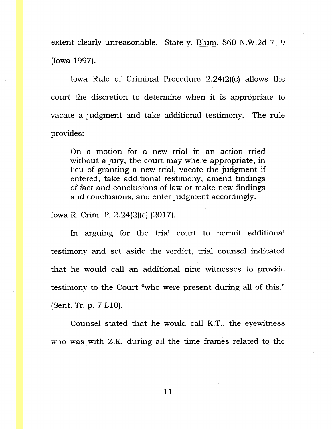extent clearly unreasonable. State v. Blum, 560 N.W.2d 7, 9 (Iowa 1997).

Iowa Rule of Criminal Procedure 2.24(2)(c) allows the court the discretion to determine when it is appropriate to vacate a judgment and take additional testimony. The rule provides:

On a motion for a new trial in an action tried without a jury, the court may where appropriate, in lieu of granting a new trial, vacate the judgment if entered, take additional testimony, amend findings of fact and conclusions of law or make new findings and conclusions, and enter judgment accordingly.

Iowa R. Crim. P. 2.24(2)(c) (2017).

In arguing for the trial court to permit additional testimony and set aside the verdict, trial counsel indicated that he would call an additional nine witnesses to provide testimony to the Court "who were present during all of this." (Sent. Tr. p. 7 LlO).

Counsel stated that he would call K.T., the eyewitness who was with Z.K. during all the time frames related to the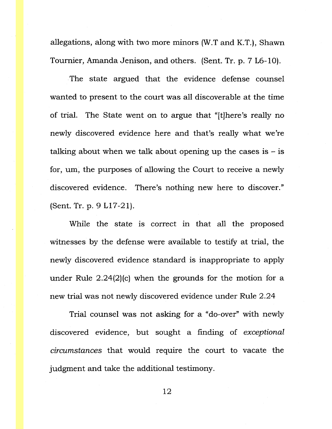allegations, along with two more minors (W.T and K.T.), Shawn Tournier, Amanda Jenison, and others. (Sent. Tr. p. 7 L6-10).

The state argued that the evidence defense counsel wanted to present to the court was all discoverable at the time of trial. The State went on to argue that "[t]here's really no newly discovered evidence here and that's really what we're talking about when we talk about opening up the cases is  $-$  is for, um, the purposes of allowing the Court to receive a newly discovered evidence. There's nothing new here to discover." {Sent. Tr. p. 9 Ll 7-21).

While the state is correct in that all the proposed witnesses by the defense were available to testify at trial, the newly discovered evidence standard is inappropriate to apply under Rule 2.24(2)(c) when the grounds for the motion for a new trial was not newly discovered evidence under Rule 2.24

Trial counsel was not asking for a "do-over" with newly discovered evidence, but sought a finding of *exceptional circumstances* that would require the court to vacate the judgment and take the additional testimony.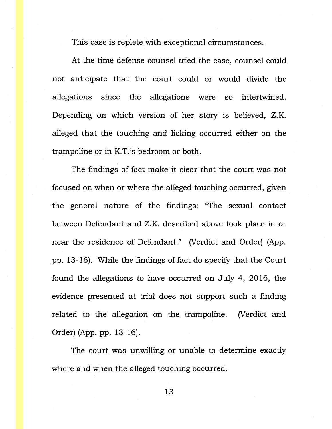This case is replete with exceptional circumstances.

At the time defense counsel tried the case, counsel could not anticipate that the court could or would divide the allegations since the allegations were so intertwined. Depending on which version of her story is believed, Z.K. alleged that the touching and licking occurred either on the trampoline or in K.T. 's bedroom or both.

The findings of fact make it clear that the court was not focused on when or where the alleged touching occurred, given the general nature of the findings: "The sexual contact between Defendant and Z.K. described above took place in or near the residence of Defendant." (Verdict and Order) (App. pp. 13-16). While the findings of fact do specify that the Court found the allegations to have occurred on July 4, 2016, the evidence presented at trial does not support such a finding related to the allegation on the trampoline. (Verdict and Order) (App. pp. 13-16).

The court was unwilling or unable to determine exactly where and when the alleged touching occurred.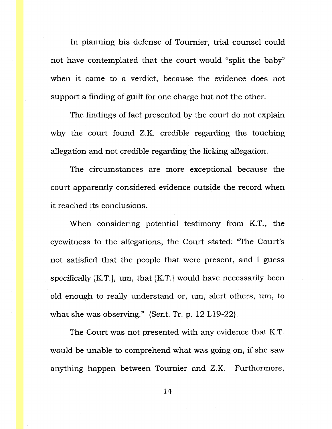In planning his defense of Tournier, trial counsel could not have contemplated that the court would "split the baby'' when it came to a verdict, because the evidence does not support a finding of guilt for one charge but not the other.

The findings of fact presented by the court do not explain why the court found Z.K. credible regarding the touching allegation and not credible regarding the licking allegation.

The circumstances are more exceptional because the court apparently considered evidence outside the record when it reached its conclusions.

When considering potential testimony from K.T., the eyewitness to the allegations, the Court stated: "The Court's not satisfied that the people that were present, and I guess specifically  $[K.T.]$ , um, that  $[K.T.]$  would have necessarily been old enough to really understand or, um, alert others, um, to what she was observing." (Sent. Tr. p. 12 L19-22).

The Court was not presented with any evidence that K.T. would be unable to comprehend what was going on, if she saw anything happen between Tournier and Z.K. Furthermore,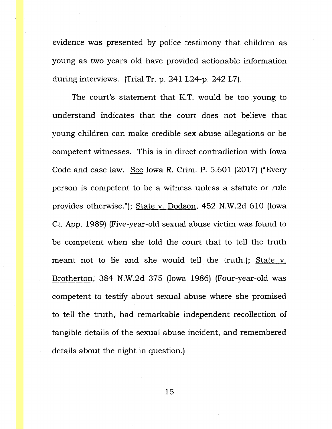evidence was presented by police testimony that children as young as two years old have provided actionable information during interviews. (Trial Tr. p. 241 L24-p. 242 L7).

The court's statement that K.T. would be too young to understand indicates that the court does not believe that young children can make credible sex abuse allegations or be competent witnesses. This is in direct contradiction with Iowa Code and case law. See Iowa R. Crim. P. 5.601 (2017) ("Every person is competent to be a witness unless a statute or rule provides otherwise."); State v. Dodson, 452 N.W.2d 610 (Iowa Ct. App. 1989) (Five-year-old sexual abuse victim was found to be competent when she told the court that to tell the truth meant not to lie and she would tell the truth.); State v. Brotherton, 384 N.W.2d 375 (Iowa 1986) (Four-year-old was competent to testify about sexual abuse where she promised to tell the truth, had remarkable independent recollection of tangible details of the sexual abuse incident, and remembered details about the night in question.)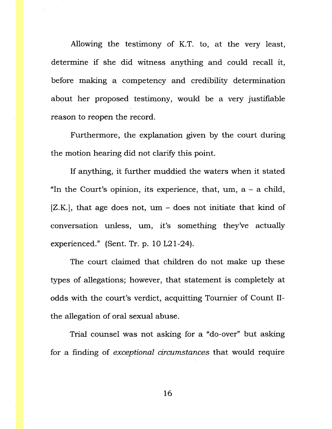Allowing the testimony of K.T. to, at the very least, determine if she did witness anything and could recall it, before making a competency and credibility determination about her proposed testimony, would be a very justifiable reason to reopen the record.

Furthermore, the explanation given by the court during the motion hearing did not clarify this point.

If anything, it further muddied the waters when it stated "In the Court's opinion, its experience, that,  $um$ ,  $a - a$  child,  $[Z.K.]$ , that age does not,  $um -$  does not initiate that kind of conversation unless, um, it's something they've actually experienced." (Sent. Tr. p. 10 L21-24).

The court claimed that children do not make up these types of allegations; however, that statement is completely at odds with the court's verdict, acquitting Tournier of Count IIthe allegation of oral sexual abuse.

Trial counsel was not asking for a "do-over" but asking for a finding of *exceptional circumstances* that would require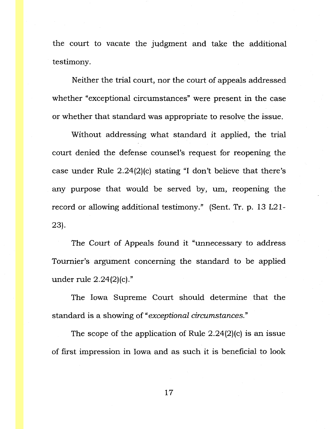the court to vacate the judgment and take the additional testimony.

Neither the trial court, nor the court of appeals addressed whether "exceptional circumstances" were present in the case or whether that standard was appropriate to resolve the issue.

Without addressing what standard it applied, the trial court denied the defense counsel's request for reopening the case under Rule 2.24(2)(c) stating "I don't believe that there's any purpose that would be served by, um, reopening the record or allowing additional testimony." (Sent. Tr. p. 13 L21- 23).

The Court of Appeals found it "unnecessary to address Toumier's argument concerning the standard to be applied under rule 2.24(2)(c)."

The Iowa Supreme Court should determine that the standard is a showing of *"exceptional circumstances."* 

The scope of the application of Rule 2.24(2)(c) is an issue of first impression in Iowa and as such it is beneficial to look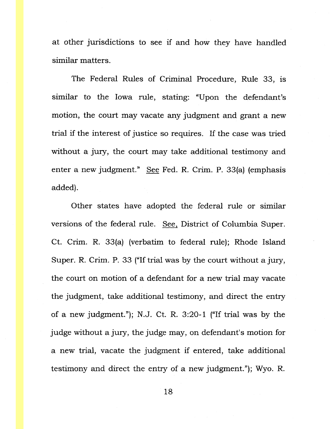at other jurisdictions to see if and how they have handled similar matters.

The Federal Rules of Criminal Procedure, Rule 33, is similar to the Iowa rule, stating: "Upon the defendant's motion, the court may vacate any judgment and grant a new trial if the interest of justice so requires. If the case was tried without a jury, the court may take additional testimony and enter a new judgment." See Fed. R. Crim. P. 33(a) (emphasis added).

Other states have adopted the federal rule or similar versions of the federal rule. See, District of Columbia Super. Ct. Crim. R. 33(a) (verbatim to federal rule); Rhode Island Super. R. Crim. P. 33 ("If trial was by the court without a jury, the court on motion of a defendant for a new trial may vacate the judgment, take additional testimony, and direct the entry of a new judgment."); N.J. Ct. R. 3:20-1 ("If trial was by the judge without a jury, the judge may, on defendant's motion for a new trial, vacate the judgment if entered, take additional testimony and direct the entry of a new judgment."); Wyo. R.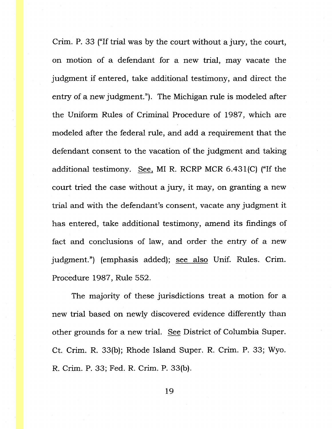Crim. P. 33 ("If trial was by the court without a jury, the court, on motion of a defendant for a new trial, may vacate the judgment if entered, take additional testimony, and direct the entry of a new judgment."). The Michigan rule is modeled after the Uniform Rules of Criminal Procedure of 1987, which are modeled after the federal rule, and add a requirement that the defendant consent to the vacation of the judgment and taking additional testimony. See, MI R. RCRP MCR 6.43l(C) ("If the court tried the case without a jury, it may, on granting a new trial and with the defendant's consent, vacate any judgment it has entered, take additional testimony, amend its findings of fact and conclusions of law, and order the entry of a new judgment.") (emphasis added); see also Unif. Rules. Crim. Procedure 1987, Rule 552.

The majority of these jurisdictions treat a motion for a new trial based on newly discovered evidence differently than other grounds for a new trial. See District of Columbia Super. Ct. Crim. R. 33(b); Rhode Island Super. R. Crim. P. 33; Wyo. R. Crim. P. 33; Fed. R. Crim. P. 33(b).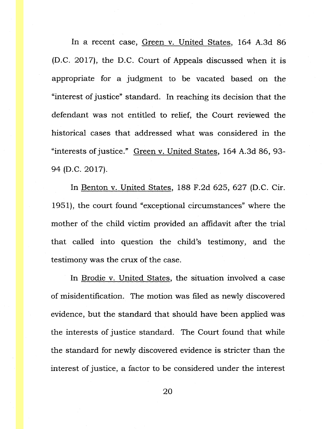In a recent case, Green v. United States, 164 A.3d 86 (D.C. 2017), the D.C. Court of Appeals discussed when it is appropriate for a judgment to be vacated based on the "interest of justice" standard. In reaching its decision that the defendant was not entitled to relief, the Court reviewed the historical cases that addressed what was considered in the "interests of justice." Green v. United States, 164 A.3d 86, 93- 94 (D.C. 2017).

In Benton v. United States, 188 F.2d 625, 627 (D.C. Cir. 1951), the court found "exceptional circumstances" where the mother of the child victim provided an affidavit after the trial that called into question the child's testimony, and the testimony was the crux of the case.

In Brodie v. United States, the situation involved a case of misidentification. The motion was filed as newly discovered evidence, but the standard that should have been applied was the interests of justice standard. The Court found that while the standard for newly discovered evidence is stricter than the interest of justice, a factor to be considered under the interest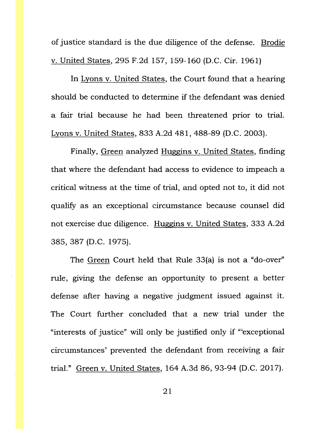of justice standard is the due diligence of the defense. Brodie v. United States, 295 F.2d 157, 159-160 (D.C. Cir. 1961)

In Lyons v. United States, the Court found that a hearing should be conducted to determine if the defendant was denied a fair trial because he had been threatened prior to trial. Lyons v. United States, 833 A.2d 481, 488-89 (D.C. 2003).

Finally, Green analyzed Huggins v. United States, finding that where the defendant had access to evidence to impeach a critical witness at the time of trial, and opted not to, it did not qualify as an exceptional circumstance because counsel did not exercise due diligence. Huggins v. United States, 333 A.2d 385, 387 (D.C. 1975).

The Green Court held that Rule 33(a) is not a "do-over" rule, giving the defense an opportunity to present a better defense after having a negative judgment issued against it. The Court further concluded that a new trial under the "interests of justice" will only be justified only if '"exceptional circumstances' prevented the defendant from receiving a fair trial." Green v. United States, 164 A.3d 86, 93-94 (D.C. 2017).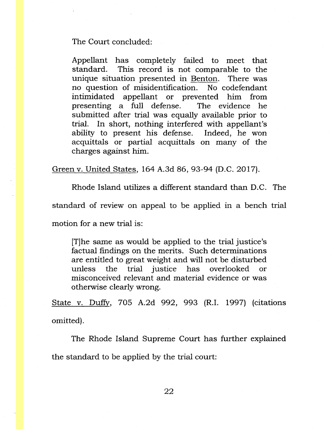#### The Court concluded:

Appellant has completely failed to meet that standard. This record is not comparable to the unique situation presented in Benton. There was no question of misidentification. No codefendant intimidated appellant or prevented him from presenting a full defense. The evidence he submitted after trial was equally available prior to trial. In short, nothing interfered with appellant's ability to present his defense. Indeed, he won acquittals or partial acquittals on many of the charges against him:

Green v. United States, 164 A.3d 86, 93-94 (D.C. 2017).

Rhode Island utilizes a different standard than D.C. The

standard of review on appeal to be applied in a bench trial

motion for a new trial is:

[T]he same as would be applied to the trial justice's factual findings on the merits. Such determinations are entitled to great weight and will not be disturbed unless the trial justice has overlooked or misconceived relevant and material evidence or was otherwise clearly wrong.

State v. Duffy, 705 A.2d 992, 993 (R.I. 1997) (citations omitted).

The Rhode Island Supreme Court has further explained the standard to be applied by the trial court: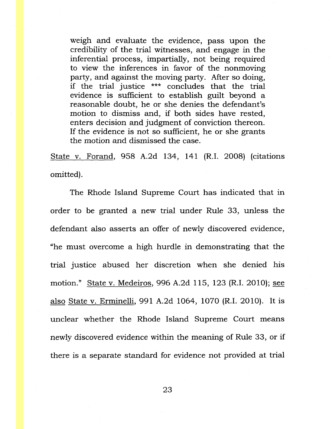weigh and evaluate the evidence, pass upon the credibility of the trial witnesses, and engage in the inferential process, impartially, not being required to view the inferences in favor of the nonmoving party, and against the moving party. After so doing, if the trial justice \*\*\* concludes that the trial evidence is sufficient to establish guilt beyond a reasonable doubt, he or she denies the defendant's motion to dismiss and, if both sides have rested, enters decision and judgment of conviction thereon. If the evidence is not so sufficient, he or she grants the motion and dismissed the case.

State v. Forand, 958 A.2d 134, 141 (R.I. 2008) (citations omitted).

The Rhode Island Supreme Court has indicated that in order to be granted a new trial under Rule 33, unless the defendant also asserts an offer of newly discovered evidence, "he must overcome a high hurdle in demonstrating that the trial justice abused her discretion when she denied his motion." State v. Medeiros, 996 A.2d 115, 123 (R.I. 2010); see also State v. Erminelli, 991 A.2d 1064, 1070 (R.I. 2010). It is unclear whether the Rhode Island Supreme Court means newly discovered evidence within the meaning of Rule 33, or if there is a separate standard for evidence not provided at trial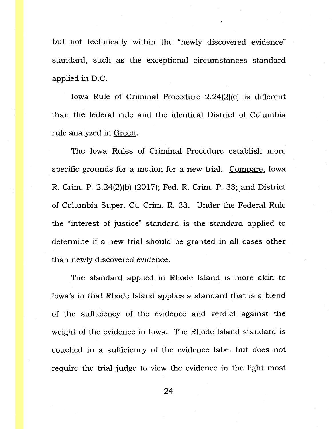but not technically within the "newly discovered evidence" standard, such as the exceptional circumstances standard applied in D.C.

Iowa Rule of Criminal Procedure 2.24(2)(c) is different than the federal rule and the identical District of Columbia rule analyzed in Green.

The Iowa Rules of Criminal Procedure establish more specific grounds for a motion for a new trial. Compare, Iowa R. Crim. P. 2.24(2)(b) (2017); Fed. R. Crim. P. 33; and District of Columbia Super. Ct. Crim. R. 33. Under the Federal Rule the "interest of justice" standard is the standard applied to determine if a new trial should be granted in all cases other than newly discovered evidence.

The standard applied in Rhode Island is more akin to Iowa's in that Rhode Island applies a standard that is a blend of the sufficiency of the evidence and verdict against the weight of the evidence in Iowa. The Rhode Island standard is couched in a sufficiency of the evidence label but does not require the trial judge to view the evidence in the light most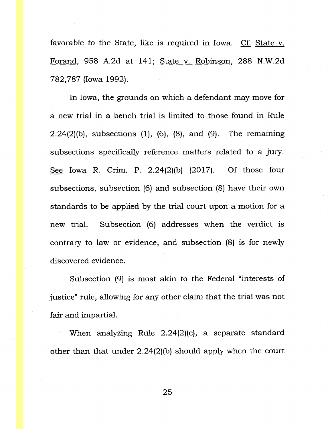favorable to the State, like is required in Iowa. Cf. State v. Forand, 958 A.2d at 141; State v. Robinson, 288 N.W.2d 782,787 (Iowa 1992).

In Iowa, the grounds on which a defendant may move for a new trial in a bench trial is limited to those found in Rule  $2.24(2)$ (b), subsections  $(1)$ ,  $(6)$ ,  $(8)$ , and  $(9)$ . The remaining subsections specifically reference matters related to a jury. See Iowa R. Crim. P. 2.24(2)(b) (2017). Of those four subsections, subsection (6) and subsection (8) have their own standards to be applied by the trial court upon a motion for a new trial. Subsection (6) addresses when the verdict is contrary to law or evidence, and subsection (8) is for newly discovered evidence.

Subsection (9) is most akin to the Federal "interests of justice" rule, allowing for any other claim that the trial was not fair and impartial.

When analyzing Rule 2.24(2)(c), a separate standard other than that under 2.24(2)(b) should apply when the court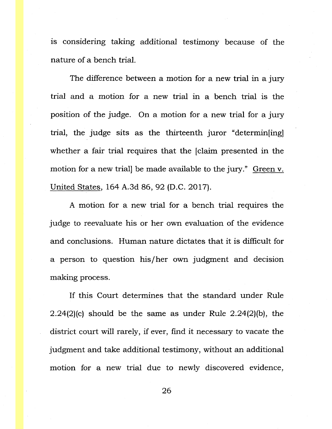is considering taking additional testimony because of the nature of a bench trial.

The difference between a motion for a new trial in a jury trial and a motion for a new trial in a bench trial is the position of the judge. On a motion for a new trial for a jury trial, the judge sits as the thirteenth juror "determin[ing] whether a fair trial requires that the [claim presented in the motion for a new trial] be made available to the jury." Green v. United States, 164 A.3d 86, 92 (D.C. 2017).

A motion for a new trial for a bench trial requires the judge to reevaluate his or her own evaluation of the evidence and conclusions. Human nature dictates that it is difficult for a person to question his/her own judgment and decision making process.

If this Court determines that the standard under Rule 2.24(2)(c) should be the same as under Rule 2.24(2)(b), the district court will rarely, if ever, find it necessary to vacate the judgment and take additional testimony, without an additional motion for a new trial due to newly discovered evidence,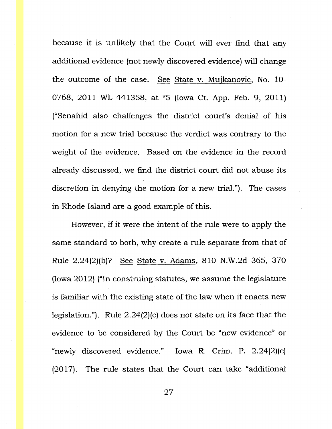because it is unlikely that the Court will ever find that any additional evidence (not newly discovered evidence) will change the outcome of the case. See State v. Mujkanovic, No. 10- 0768, 2011 WL 441358, at \*5 (Iowa Ct. App. Feb. 9, 2011) ("Senahid also challenges the district court's denial of his motion for a new trial because the verdict was contrary to the weight of the evidence. Based on the evidence in the record already discussed, we find the district court did not abuse its discretion in denying the motion for a new trial."). The cases in Rhode Island are a good example of this.

However, if it were the intent of the rule were to apply the same standard to both, why create a rule separate from that of Rule 2.24(2)(b)? See State v. Adams, 810 N.W.2d 365, 370 (Iowa 2012) ("In construing statutes, we assume the legislature is familiar with the existing state of the law when it enacts new legislation."). Rule 2.24(2)(c) does not state on its face that the evidence to be considered by the Court be "new evidence" or "newly discovered evidence." Iowa R. Crim. P. 2.24(2)(c)  $(2017)$ . The rule states that the Court can take "additional"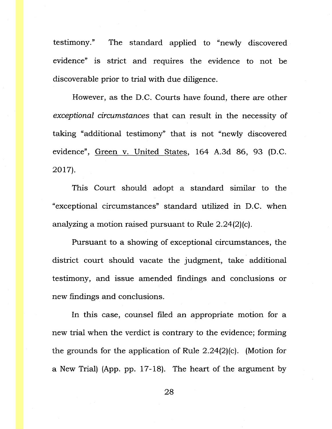testimony." The standard applied to "newly discovered evidence" is strict and requires the evidence to not be discoverable prior to trial with due diligence.

However, as the D.C. Courts have found, there are other *exceptional circumstances* that can result in the necessity of taking "additional testimony" that is not "newly discovered evidence", Green v. United States, 164 A.3d 86, 93 (D.C. 2017).

This Court should adopt a standard similar to the "exceptional circumstances" standard utilized in D.C. when analyzing a motion raised pursuant to Rule 2.24(2)(c).

Pursuant to a showing of exceptional circumstances, the district court should vacate the judgment, take additional testimony, and issue amended findings and conclusions or new findings and conclusions.

In this case, counsel filed an appropriate motion for a new trial when the verdict is contrary to the evidence; forming the grounds for the application of Rule 2.24(2)(c). (Motion for a New Trial) (App. pp. 17-18). The heart of the argument by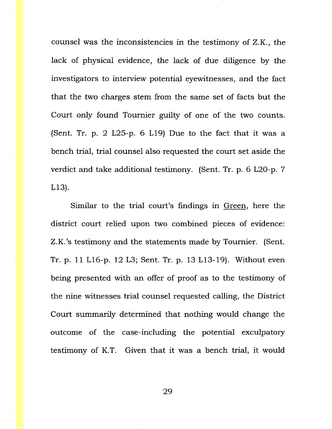counsel was the inconsistencies in the testimony of Z.K., the lack of physical evidence, the lack of due diligence by the investigators to interview potential eyewitnesses, and the fact that the two charges stem from the same set of facts but the Court only found Tournier guilty of one of the two counts. (Sent. Tr. p.  $2$  L $25$ -p. 6 L19) Due to the fact that it was a bench trial, trial counsel also requested the court set aside the verdict and take additional testimony. (Sent. Tr. p. 6 L20-p. 7 L13).

Similar to the trial court's findings in Green, here the district court relied upon two combined pieces of evidence: Z.K.'s testimony and the statements made by Tournier. (Sent. Tr. p. 11 L16-p. 12 L3; Sent. Tr. p. 13 L13-19). Without even being presented with an offer of proof as to the testimony of the nine witnesses trial counsel requested calling, the District Court summarily determined that nothing would change the outcome of the case-including the potential exculpatory testimony of K.T. Given that it was a bench trial, it would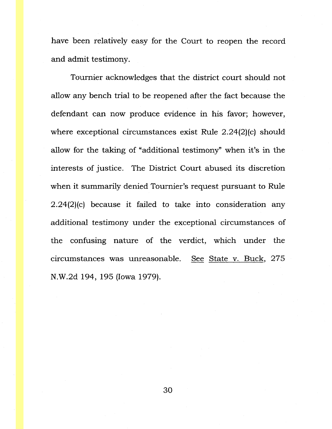have been relatively easy for the Court to reopen the record and admit testimony.

Tournier acknowledges that the district court should not allow any bench trial to be reopened after the fact because the defendant can now produce evidence in his favor; however, where exceptional circumstances exist Rule 2.24(2)(c) should allow for the taking of "additional testimony" when it's in the interests of justice. The District Court abused its discretion when it summarily denied Tournier's request pursuant to Rule 2.24(2)(c) because it failed to take into consideration any additional testimony under the exceptional circumstances of the confusing nature of the verdict, which under the circumstances was unreasonable. See State v. Buck, 275 N.W.2d 194, 195 (Iowa 1979).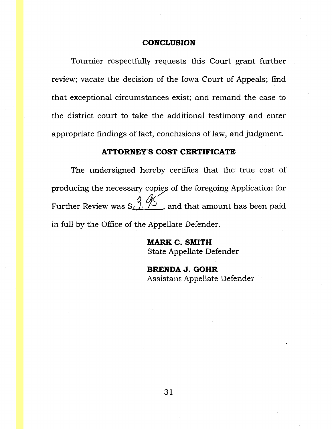### **CONCLUSION**

Toumier respectfully requests this Court grant further review; vacate the decision of the Iowa Court of Appeals; find that exceptional circumstances exist; and remand the case to the district court to take the additional testimony and enter appropriate findings of fact, conclusions of law, and judgment.

### **ATTORNEY'S COST CERTIFICATE**

The undersigned hereby certifies that the true cost of producing the necessary copies of the foregoing Application for Further Review was  $\frac{3}{2}$ ,  $\frac{1}{2}$ , and that amount has been paid in full by the Office of the Appellate Defender.

> **MARK C. SMITH**  State Appellate Defender

**BRENDA J. GOHR**  Assistant Appellate Defender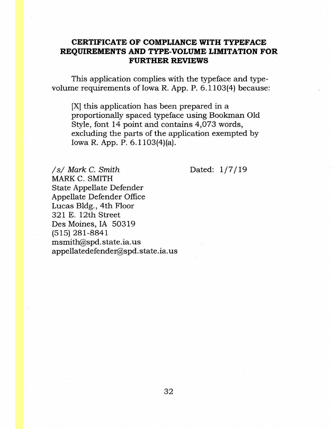## **CERTIFICATE OF COMPLIANCE WITH TYPEFACE REQUIREMENTS AND TYPE-VOLUME LIMITATION FOR FURTHER REVIEWS**

This application complies with the typeface and typevolume requirements of Iowa R. App. P. 6.1103(4) because:

[X] this application has been prepared in a proportionally spaced typeface using Bookman Old Style, font 14 point and contains 4,073 words, excluding the parts of the application exempted by Iowa R. App. P. 6. l 103(4)(a).

*Is/* Mark C. Smith MARK C. SMITH State Appellate Defender Appellate Defender Office Lucas Bldg., 4th Floor 321 E. 12th Street Des Moines, IA 50319 (515) 281-8841 msmith@spd. state.ia. us appellatedefendet@spd. state .ia. us Dated:  $1/7/19$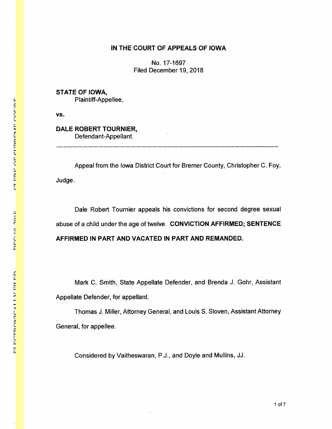#### **IN THE COURT OF APPEALS OF IOWA**

No. 17-1697 Filed December 19, 2018

**STATE OF IOWA,**  Plaintiff-Appellee,

**vs.** 

#### **DALE ROBERT TOURNIER,**  Defendant-Appellant.

Appeal from the Iowa District Court for Bremer County, Christopher C. Foy, Judge.

Dale Robert Tournier appeals his convictions for second degree sexual abuse of a child under the age of twelve. **CONVICTION AFFIRMED; SENTENCE AFFIRMED IN PART AND VACATED IN PART AND REMANDED.** 

Mark C. Smith, State Appellate Defender, and Brenda J. Gohr, Assistant Appellate Defender, for appellant.

Thomas J. Miller, Attorney General, and Louis S. Sloven, Assistant Attorney General, for appellee.

Considered by Vaitheswaran, P.J., and Doyle and Mullins, JJ.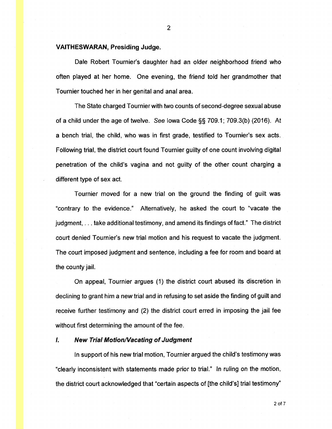#### **VAITHESWARAN, Presiding Judge.**

Dale Robert Tournier's daughter had an older neighborhood friend who often played at her home. One evening, the friend told her grandmother that Tournier touched her in her genital and anal area.

The State charged Tournier with two counts of second-degree sexual abuse of a child under the age of twelve. See Iowa Code§§ 709.1; 709.3(b) (2016). At a bench trial, the child, who was in first grade, testified to Tournier's sex acts. Following trial, the district court found Tournier guilty of one count involving digital penetration of the child's vagina and not guilty of the other count charging a different type of sex act.

Tournier moved for a new trial on the ground the finding of guilt was "contrary to the evidence." Alternatively, he asked the court to "vacate the judgment, ... take additional testimony, and amend its findings of fact." The district court denied Tournier's new trial motion and his request to vacate the judgment. The court imposed judgment and sentence, including a fee for room and board at the county jail.

On appeal, Tournier argues (1) the district court abused its discretion in declining to grant him a new trial and in refusing to set aside the finding of guilt and receive further testimony and (2) the district court erred in imposing the jail fee without first determining the amount of the fee.

#### **I.** New Trial Motion/Vacating of Judgment

In support of his new trial motion, Tournier argued the child's testimony was "clearly inconsistent with statements made prior to trial." In ruling on the motion, the district court acknowledged that "certain aspects of [the child's] trial testimony"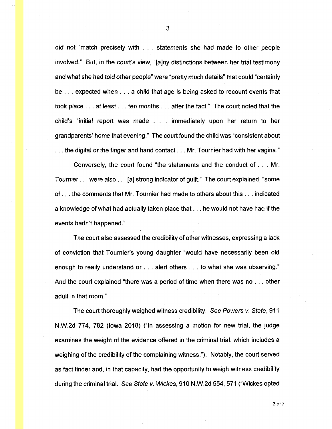did not "match precisely with . . . statements she had made to other people involved." But, in the court's view, "[a]ny distinctions between her trial testimony and what she had told other people" were "pretty much details" that could "certainly be ... expected when ... a child that age is being asked to recount events that took place ... at least ... ten months ... after the fact." The court noted that the child's "initial report was made . . . immediately upon her return to her grandparents' home that evening." The court found the child was "consistent about ... the digital or the finger and hand contact ... Mr. Tournier had with her vagina."

Conversely, the court found "the statements and the conduct of ... Mr. Tournier ... were also ... [a] strong indicator of guilt." The court explained, "some of ... the comments that Mr. Tournier had made to others about this ... indicated a knowledge of what had actually taken place that ... he would not have had if the events hadn't happened."

The court also assessed the credibility of other witnesses, expressing a lack of conviction that Tournier's young daughter "would have necessarily been old enough to really understand or ... alert others ... to what she was observing." And the court explained "there was a period of time when there was no ... other adult in that room."

The court thoroughly weighed witness credibility. See Powers v. State, 911 N.W.2d 774, 782 (Iowa 2018) ("In assessing a motion for new trial, the judge examines the weight of the evidence offered in the criminal trial, which includes a weighing of the credibility of the complaining witness."). Notably, the court served as fact finder and, in that capacity, had the opportunity to weigh witness credibility during the criminal trial. See State v. Wickes, 910 N.W.2d 554,571 ("Wickes opted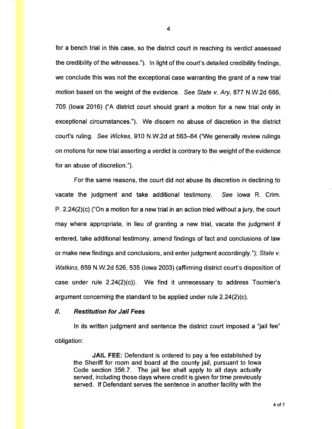for a bench trial in this case, so the district court in reaching its verdict assessed the credibility of the witnesses."). In light of the court's detailed credibility findings, we conclude this was not the exceptional case warranting the grant of a new trial motion based on the weight of the evidence. See State v. Ary, 877 N.W.2d 686, 705 (Iowa 2016) ("A district court should grant a motion for a new trial only in exceptional circumstances."). We discern no abuse of discretion in the district court's ruling. See Wickes, 910 N.W.2d at 563-64 ("We generally review rulings on motions for new trial asserting a verdict is contrary to the weight of the evidence for an abuse of discretion.").

For the same reasons, the court did not abuse its discretion in declining to vacate the judgment and take additional testimony. See Iowa R. Crim. P. 2.24(2)(c) ("On a motion for a new trial in an action tried without a jury, the court may where appropriate, in lieu of granting a new trial, vacate the judgment if entered, take additional testimony, amend findings of fact and conclusions of law or make new findings and conclusions, and enter judgment accordingly."); State v. Watkins, 659 N.W.2d 526, 535 (Iowa 2003) (affirming district court's disposition of case under rule  $2.24(2)(c)$ . We find it unnecessary to address Tournier's argument concerning the standard to be applied under rule 2.24(2)(c).

#### II. **Restitution for Jail Fees**

In its written judgment and sentence the district court imposed a "jail fee" obligation:

**JAIL FEE:** Defendant is ordered to pay a fee established by the Sheriff for room and board at the county jail, pursuant to Iowa Code section 356.7. The jail fee shall apply to all days actually served, including those days where credit is given for time previously served. If Defendant serves the sentence in another facility with the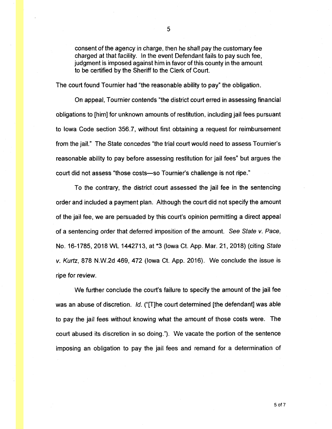consent of the agency in charge, then he shall pay the customary fee charged at that facility. In the event Defendant fails to pay such fee, judgment is imposed against him in favor of this county in the amount to be certified by the Sheriff to the Clerk of Court.

The court found Tournier had "the reasonable ability to pay" the obligation.

On appeal, Tournier contends "the district court erred in assessing financial obligations to [him] for unknown amounts of restitution, including jail fees pursuant to Iowa Code section 356.7, without first obtaining a request for reimbursement from the jail." The State concedes "the trial court would need to assess Tournier's reasonable ability to pay before assessing restitution for jail fees" but argues the court did not assess "those costs-so Tournier's challenge is not ripe."

To the contrary, the district court assessed the jail fee in the sentencing order and included a payment plan. Although the court did not specify the amount of the jail fee, we are persuaded by this court's opinion permitting a direct appeal of a sentencing order that deferred imposition of the amount. See State v. Pace, No. 16-1785, 2018 WL 1442713, at \*3 (Iowa Ct. App. Mar. 21, 2018) (citing State v. Kurtz, 878 N.W.2d 469, 472 (Iowa Ct. App. 2016). We conclude the issue is ripe for review.

We further conclude the court's failure to specify the amount of the jail fee was an abuse of discretion. Id. ("[T]he court determined [the defendant] was able to pay the jail fees without knowing what the amount of those costs were. The court abused its discretion in so doing."). We vacate the portion of the sentence imposing an obligation to pay the jail fees and remand for a determination of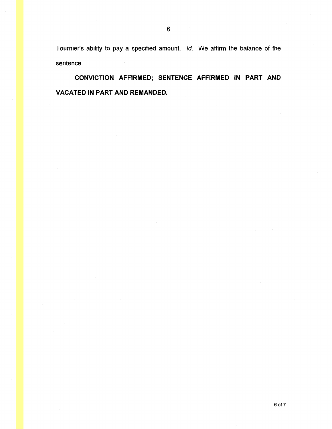Tournier's ability to pay a specified amount. Id. We affirm the balance of the sentence.

**CONVICTION AFFIRMED; SENTENCE AFFIRMED IN PART AND VACATED IN PART AND REMANDED.**